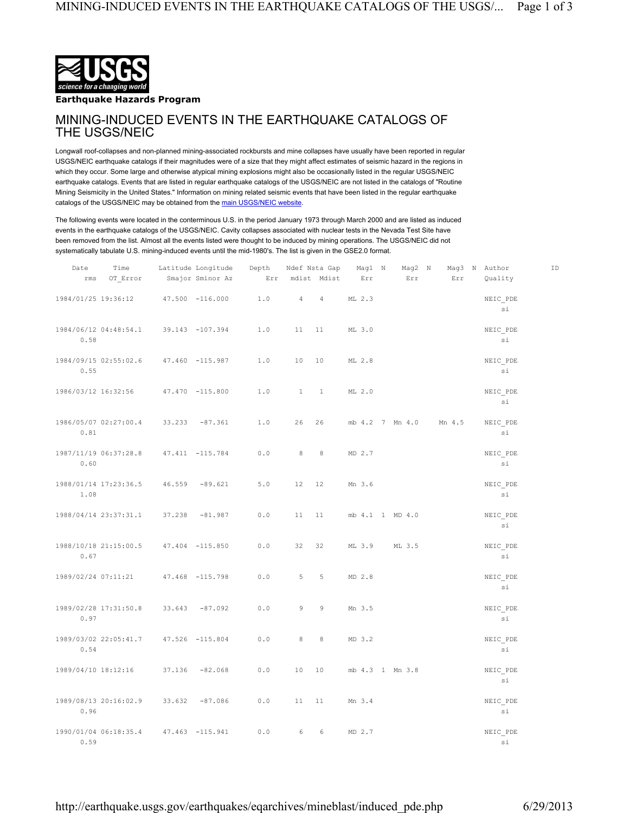

**Earthquake Hazards Program**

## MINING-INDUCED EVENTS IN THE EARTHQUAKE CATALOGS OF THE USGS/NEIC

Longwall roof-collapses and non-planned mining-associated rockbursts and mine collapses have usually have been reported in regular USGS/NEIC earthquake catalogs if their magnitudes were of a size that they might affect estimates of seismic hazard in the regions in which they occur. Some large and otherwise atypical mining explosions might also be occasionally listed in the regular USGS/NEIC earthquake catalogs. Events that are listed in regular earthquake catalogs of the USGS/NEIC are not listed in the catalogs of "Routine Mining Seismicity in the United States." Information on mining related seismic events that have been listed in the regular earthquake catalogs of the USGS/NEIC may be obtained from the main USGS/NEIC website.

The following events were located in the conterminous U.S. in the period January 1973 through March 2000 and are listed as induced events in the earthquake catalogs of the USGS/NEIC. Cavity collapses associated with nuclear tests in the Nevada Test Site have been removed from the list. Almost all the events listed were thought to be induced by mining operations. The USGS/NEIC did not systematically tabulate U.S. mining-induced events until the mid-1980's. The list is given in the GSE2.0 format.

| Date                | Time                  |        | Latitude Longitude | Depth        |                | Ndef Nsta Gap  | Mag1 N          | Mag2 N |        | Mag3 N Author           | ID |
|---------------------|-----------------------|--------|--------------------|--------------|----------------|----------------|-----------------|--------|--------|-------------------------|----|
| rms                 | OT Error              |        | Smajor Sminor Az   | Err          |                | mdist Mdist    | Err             | Err    | Err    | Quality                 |    |
| 1984/01/25 19:36:12 |                       |        | 47.500 -116.000    | 1.0          | $\overline{4}$ | $\overline{4}$ | ML 2.3          |        |        | NEIC PDE<br>si          |    |
| 0.58                | 1984/06/12 04:48:54.1 |        | 39.143 -107.394    | $1.0$        | 11             | 11             | ML 3.0          |        |        | NEIC PDE<br>si          |    |
| 0.55                | 1984/09/15 02:55:02.6 |        | 47.460 -115.987    | 1.0          | 10             | 10             | ML 2.8          |        |        | NEIC PDE<br>si          |    |
|                     | 1986/03/12 16:32:56   |        | 47.470 -115.800    | 1.0          | $\mathbf{1}$   | <sup>1</sup>   | ML 2.0          |        |        | NEIC PDE<br>si          |    |
| 0.81                | 1986/05/07 02:27:00.4 |        | $33.233 - 87.361$  | 1.0          | 26             | 26             | mb 4.2 7 Mn 4.0 |        | Mn 4.5 | NEIC PDE<br>si          |    |
| 0.60                | 1987/11/19 06:37:28.8 |        | 47.411 -115.784    | 0.0          | 8              | 8              | MD 2.7          |        |        | NEIC PDE<br>si          |    |
| 1.08                | 1988/01/14 17:23:36.5 | 46.559 | $-89.621$          | 5.0          | 12             | 12             | Mn 3.6          |        |        | NEIC PDE<br>si          |    |
|                     | 1988/04/14 23:37:31.1 | 37.238 | $-81.987$          | $0.0$        | 11             | 11             | mb 4.1 1 MD 4.0 |        |        | $\verb+NEIC_PDE+$<br>si |    |
| 0.67                | 1988/10/18 21:15:00.5 |        | 47.404 -115.850    | 0.0          | 32             | 32             | ML 3.9          | ML 3.5 |        | NEIC PDE<br>si          |    |
| 1989/02/24 07:11:21 |                       |        | 47.468 -115.798    | 0.0          | 5              | 5              | MD 2.8          |        |        | NEIC PDE<br>si          |    |
| 0.97                | 1989/02/28 17:31:50.8 |        | $33.643 - 87.092$  | 0.0          | $\circ$        | 9              | Mn 3.5          |        |        | NEIC PDE<br>si          |    |
| 0.54                | 1989/03/02 22:05:41.7 |        | 47.526 -115.804    | 0.0          | 8              | 8              | MD 3.2          |        |        | NEIC PDE<br>si          |    |
| 1989/04/10 18:12:16 |                       | 37.136 | $-82.068$          | $0\, . \, 0$ | 10             | 10             | mb 4.3 1 Mn 3.8 |        |        | NEIC PDE<br>si          |    |
| 0.96                | 1989/08/13 20:16:02.9 | 33.632 | $-87.086$          | $0.0$        | 11             | 11             | Mn 3.4          |        |        | NEIC PDE<br>si          |    |
| 0.59                | 1990/01/04 06:18:35.4 |        | 47.463 -115.941    | $0\, . \, 0$ | 6              | 6              | MD 2.7          |        |        | NEIC PDE<br>si          |    |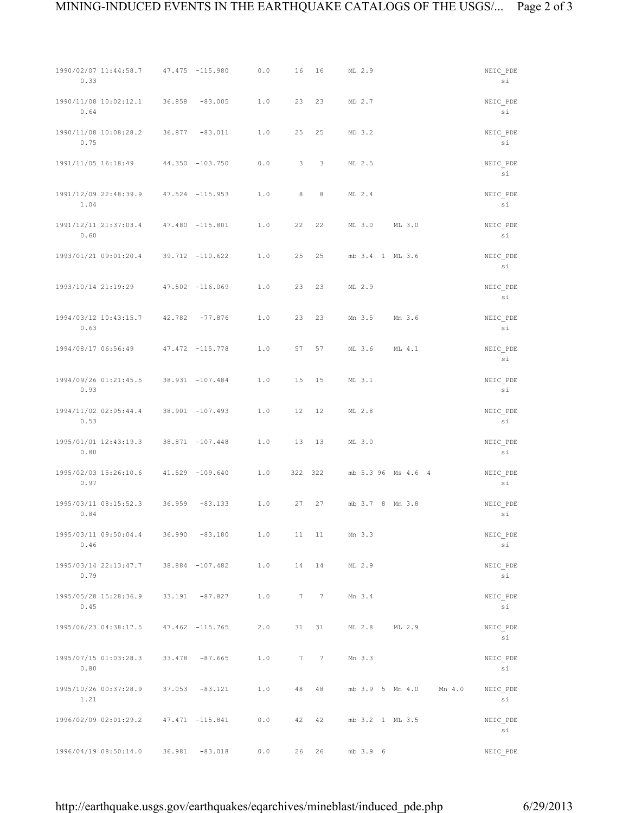| 0.33                | 1990/02/07 11:44:58.7 47.475 -115.980 |                   | 0.0 | 16      | 16               | ML 2.9             |                        | NEIC PDE<br>si |
|---------------------|---------------------------------------|-------------------|-----|---------|------------------|--------------------|------------------------|----------------|
| 0.64                | 1990/11/08 10:02:12.1 36.858 -83.005  |                   | 1.0 | 23      | 23               | MD 2.7             |                        | NEIC PDE<br>si |
| 0.75                | 1990/11/08 10:08:28.2                 | $36.877 - 83.011$ | 1.0 | 25      | 25               | MD 3.2             |                        | NEIC_PDE<br>si |
| 1991/11/05 16:18:49 |                                       | 44.350 -103.750   | 0.0 | 3       | $\mathbf{3}$     | ML 2.5             |                        | NEIC PDE<br>si |
| 1.04                | 1991/12/09 22:48:39.9 47.524 -115.953 |                   | 1.0 | 8       | 8                | ML 2.4             |                        | NEIC_PDE<br>si |
| 0.60                | 1991/12/11 21:37:03.4                 | 47.480 -115.801   | 1.0 | 22      | 22               | ML 3.0             | ML 3.0                 | NEIC PDE<br>si |
|                     | 1993/01/21 09:01:20.4 39.712 -110.622 |                   | 1.0 | 25      | 25               | mb 3.4 1 ML 3.6    |                        | NEIC_PDE<br>si |
|                     | 1993/10/14 21:19:29                   | 47.502 -116.069   | 1.0 | 23      | 23               | ML 2.9             |                        | NEIC PDE<br>si |
| 0.63                | 1994/03/12 10:43:15.7 42.782 -77.876  |                   | 1.0 | 23      | 23               | Mn 3.5             | Mn 3.6                 | NEIC_PDE<br>si |
| 1994/08/17 06:56:49 |                                       | 47.472 -115.778   | 1.0 | 57      | 57               | ML 3.6             | ML 4.1                 | NEIC PDE<br>si |
| 0.93                | 1994/09/26 01:21:45.5 38.931 -107.484 |                   | 1.0 | 15      | 15               | ML 3.1             |                        | NEIC_PDE<br>si |
| 0.53                | 1994/11/02 02:05:44.4                 | 38.901 -107.493   | 1.0 | 12      | 12               | ML 2.8             |                        | NEIC PDE<br>si |
| 0.80                | 1995/01/01 12:43:19.3 38.871 -107.448 |                   | 1.0 | 13      | 13               | ML 3.0             |                        | NEIC_PDE<br>si |
| 0.97                | 1995/02/03 15:26:10.6                 | 41.529 -109.640   | 1.0 | 322 322 |                  | mb 5.3 96 Ms 4.6 4 |                        | NEIC PDE<br>si |
| 0.84                | 1995/03/11 08:15:52.3 36.959 -83.133  |                   | 1.0 | 27      | 27               | mb 3.7 8 Mn 3.8    |                        | NEIC PDE<br>si |
| 0.46                | 1995/03/11 09:50:04.4 36.990 -83.180  |                   |     |         | 1.0 11 11 Mn 3.3 |                    |                        | NEIC PDE<br>si |
| 0.79                | 1995/03/14 22:13:47.7 38.884 -107.482 |                   | 1.0 |         |                  | 14 14 ML 2.9       |                        | NEIC PDE<br>si |
| 0.45                | 1995/05/28 15:28:36.9 33.191 -87.827  |                   | 1.0 |         | 7 7              | Mn 3.4             |                        | NEIC PDE<br>si |
|                     | 1995/06/23 04:38:17.5 47.462 -115.765 |                   | 2.0 | 31      |                  | 31 ML 2.8 ML 2.9   |                        | NEIC PDE<br>si |
| 0.80                | 1995/07/15 01:03:28.3 33.478 -87.665  |                   | 1.0 | 7 7     |                  | Mn 3.3             |                        | NEIC PDE<br>si |
| 1.21                | 1995/10/26 00:37:28.9 37.053 -83.121  |                   | 1.0 |         | 48 48            |                    | mb 3.9 5 Mn 4.0 Mn 4.0 | NEIC PDE<br>si |
|                     | 1996/02/09 02:01:29.2 47.471 -115.841 |                   | 0.0 |         | 42 42            | mb 3.2 1 ML 3.5    |                        | NEIC_PDE<br>si |
|                     | 1996/04/19 08:50:14.0 36.981 -83.018  |                   | 0.0 |         | 26 26            | mb 3.9 6           |                        | NEIC PDE       |

http://earthquake.usgs.gov/earthquakes/eqarchives/mineblast/induced\_pde.php